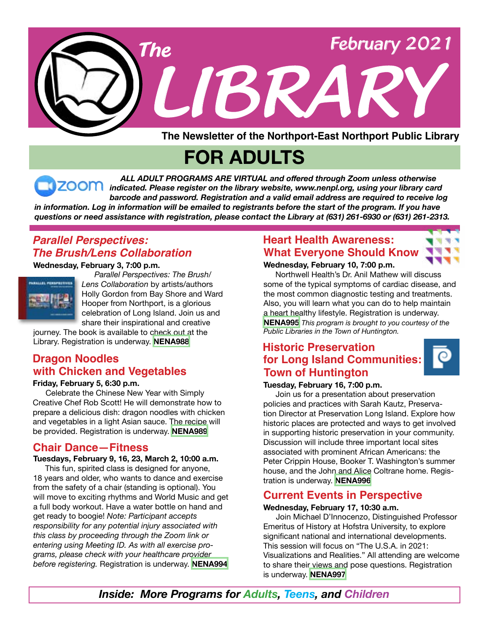

**FOR ADULTS**

 *ALL ADULT PROGRAMS ARE VIRTUAL and offered through Zoom unless otherwise indicated. Please register on the library website, www.nenpl.org, using your library card barcode and password. Registration and a valid email address are required to receive log* in information. Log in information will be emailed to registrants before the start of the program. If you have *questions or need assistance with registration, please contact the Library at (631) 261-6930 or (631) 261-2313.*

# *Parallel Perspectives: The Brush/Lens Collaboration*

**Wednesday, February 3, 7:00 p.m.**



 *Parallel Perspectives: The Brush/ Lens Collaboration* by artists/authors Holly Gordon from Bay Shore and Ward Hooper from Northport, is a glorious celebration of Long Island. Join us and share their inspirational and creative

journey. The book is available to check out at the Library. Registration is underway. **[NENA988](https://search.livebrary.com/record=g1102385~S43)** 

# **Dragon Noodles with Chicken and Vegetables**

#### **Friday, February 5, 6:30 p.m.**

 Celebrate the Chinese New Year with Simply Creative Chef Rob Scott! He will demonstrate how to prepare a delicious dish: dragon noodles with chicken and vegetables in a light Asian sauce. The recipe will be provided. Registration is underway. **[NENA989](https://search.livebrary.com/record=g1102386~S43)**

### **Chair Dance—Fitness**

#### **Tuesdays, February 9, 16, 23, March 2, 10:00 a.m.**

 This fun, spirited class is designed for anyone, 18 years and older, who wants to dance and exercise from the safety of a chair (standing is optional). You will move to exciting rhythms and World Music and get a full body workout. Have a water bottle on hand and get ready to boogie! *Note: Participant accepts responsibility for any potential injury associated with this class by proceeding through the Zoom link or entering using Meeting ID. As with all exercise programs, please check with your healthcare provider before registering.* Registration is underway. **[NENA994](https://search.livebrary.com/record=g1102907~S43)**

## **Heart Health Awareness: What Everyone Should Know**

#### **Wednesday, February 10, 7:00 p.m.**

 Northwell Health's Dr. Anil Mathew will discuss some of the typical symptoms of cardiac disease, and the most common diagnostic testing and treatments. Also, you will learn what you can do to help maintain a heart healthy lifestyle. Registration is underway. **[NENA995](https://search.livebrary.com/record=g1102916~S43)** *This program is brought to you courtesy of the Public Libraries in the Town of Huntington.*

## **Historic Preservation for Long Island Communities: Town of Huntington**

#### **Tuesday, February 16, 7:00 p.m.**

Join us for a presentation about preservation policies and practices with Sarah Kautz, Preservation Director at Preservation Long Island. Explore how historic places are protected and ways to get involved in supporting historic preservation in your community. Discussion will include three important local sites associated with prominent African Americans: the Peter Crippin House, Booker T. Washington's summer house, and the John and Alice Coltrane home. Registration is underway. **[NENA996](https://search.livebrary.com/record=g1102918~S43)**

### **Current Events in Perspective**

#### **Wednesday, February 17, 10:30 a.m.**

 Join Michael D'Innocenzo, Distinguished Professor Emeritus of History at Hofstra University, to explore significant national and international developments. This session will focus on "The U.S.A. in 2021: Visualizations and Realities." All attending are welcome to share their views and pose questions. Registration is underway. **[NENA997](https://search.livebrary.com/record=g1103051~S43)**

*Inside: More Programs for Adults, Teens, and Children*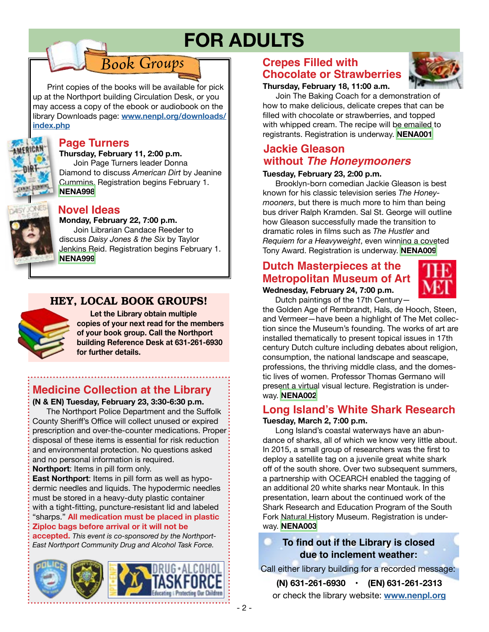# **FOR ADULTS**

Print copies of the books will be available for pick up at the Northport building Circulation Desk, or you may access a copy of the ebook or audiobook on the library Downloads page: **[www.nenpl.org/downloads/](http://www.nenpl.org/downloads/index.php) [index.php](http://www.nenpl.org/downloads/index.php)**

*Book Groups*



### **Page Turners**

**Thursday, February 11, 2:00 p.m.** Join Page Turners leader Donna Diamond to discuss *American Dirt* by Jeanine Cummins. Registration begins February 1. **[NENA998](https://search.livebrary.com/record=g1102892~S43)**



#### **Novel Ideas**

**Monday, February 22, 7:00 p.m.**

 Join Librarian Candace Reeder to discuss *Daisy Jones & the Six* by Taylor Jenkins Reid. Registration begins February 1. **[NENA999](https://search.livebrary.com/record=g1102898~S43)**

### HEY, LOCAL BOOK GROUPS!



**Let the Library obtain multiple copies of your next read for the members of your book group. Call the Northport building Reference Desk at 631-261-6930 for further details.** 

# **Medicine Collection at the Library**

#### **(N & EN) Tuesday, February 23, 3:30-6:30 p.m.**

 The Northport Police Department and the Suffolk County Sheriff's Office will collect unused or expired prescription and over-the-counter medications. Proper disposal of these items is essential for risk reduction and environmental protection. No questions asked and no personal information is required.

**Northport**: Items in pill form only.

**East Northport**: Items in pill form as well as hypodermic needles and liquids. The hypodermic needles must be stored in a heavy-duty plastic container with a tight-fitting, puncture-resistant lid and labeled "sharps." **All medication must be placed in plastic Ziploc bags before arrival or it will not be**

**accepted.** *This event is co-sponsored by the Northport-East Northport Community Drug and Alcohol Task Force.*



# **Crepes Filled with Chocolate or Strawberries**

#### **Thursday, February 18, 11:00 a.m.**

 Join The Baking Coach for a demonstration of how to make delicious, delicate crepes that can be filled with chocolate or strawberries, and topped with whipped cream. The recipe will be emailed to registrants. Registration is underway. **[NENA001](https://search.livebrary.com/record=g1102920~S43)**

# **Jackie Gleason without** *The Honeymooners*

#### **Tuesday, February 23, 2:00 p.m.**

 Brooklyn-born comedian Jackie Gleason is best known for his classic television series *The Honeymooners*, but there is much more to him than being bus driver Ralph Kramden. Sal St. George will outline how Gleason successfully made the transition to dramatic roles in films such as *The Hustler* and *Requiem for a Heavyweight*, even winning a coveted Tony Award. Registration is underway. **[NENA009](https://search.livebrary.com/record=g1102999~S43)**

# **Dutch Masterpieces at the Metropolitan Museum of Art**



**Wednesday, February 24, 7:00 p.m.** Dutch paintings of the 17th Century—

the Golden Age of Rembrandt, Hals, de Hooch, Steen, and Vermeer—have been a highlight of The Met collection since the Museum's founding. The works of art are installed thematically to present topical issues in 17th century Dutch culture including debates about religion, consumption, the national landscape and seascape, professions, the thriving middle class, and the domestic lives of women. Professor Thomas Germano will present a virtual visual lecture. Registration is underway. **[NENA002](https://search.livebrary.com/record=g1102926~S43)**

#### **Tuesday, March 2, 7:00 p.m. Long Island's White Shark Research**

 Long Island's coastal waterways have an abundance of sharks, all of which we know very little about. In 2015, a small group of researchers was the first to deploy a satellite tag on a juvenile great white shark off of the south shore. Over two subsequent summers, a partnership with OCEARCH enabled the tagging of an additional 20 white sharks near Montauk. In this presentation, learn about the continued work of the Shark Research and Education Program of the South Fork Natural History Museum. Registration is underway. **[NENA003](https://search.livebrary.com/record=g1102931~S43)**

### **To find out if the Library is closed due to inclement weather:**

Call either library building for a recorded message:

or check the library website: **[www.nenpl.org](http://www.nenpl.org) (N) 631-261-6930 • (EN) 631-261-2313**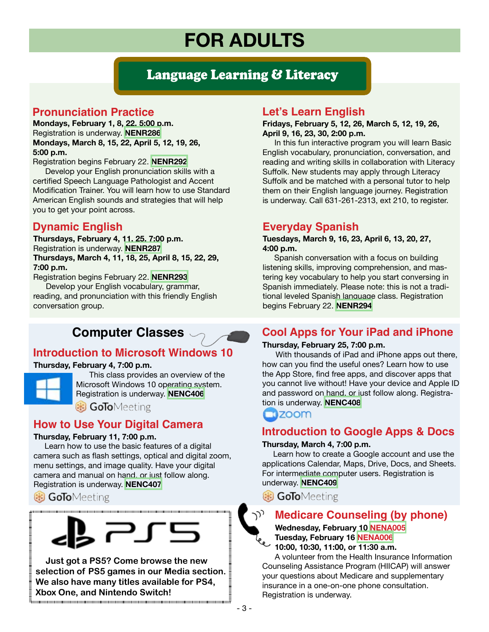# **FOR ADULTS**

# Language Learning & Literacy

# **Pronunciation Practice**

**Mondays, February 1, 8, 22, 5:00 p.m.** Registration is underway. **[NENR286](https://search.livebrary.com/record=g1100864~S43) Mondays, March 8, 15, 22, April 5, 12, 19, 26, 5:00 p.m.** 

Registration begins February 22. **[NENR292](https://search.livebrary.com/record=g1101911~S43)**

Develop your English pronunciation skills with a certified Speech Language Pathologist and Accent Modification Trainer. You will learn how to use Standard American English sounds and strategies that will help you to get your point across.

## **Dynamic English**

**Thursdays, February 4, 11, 25, 7:00 p.m.** Registration is underway. **[NENR287](https://search.livebrary.com/record=g1100908~S43) Thursdays, March 4, 11, 18, 25, April 8, 15, 22, 29, 7:00 p.m.**

Registration begins February 22. **[NENR293](https://search.livebrary.com/record=g1099946~S43)** Develop your English vocabulary, grammar, reading, and pronunciation with this friendly English conversation group.

# **Computer Classes**

# **Introduction to Microsoft Windows 10**

#### **Thursday, February 4, 7:00 p.m.**



 This class provides an overview of the Microsoft Windows 10 operating system. Registration is underway. **[NENC406](https://search.livebrary.com/record=g1102254~S43)**

**B** GoToMeeting

### **How to Use Your Digital Camera**

#### **Thursday, February 11, 7:00 p.m.**

 Learn how to use the basic features of a digital camera such as flash settings, optical and digital zoom, menu settings, and image quality. Have your digital camera and manual on hand, or just follow along. Registration is underway. **[NENC407](https://search.livebrary.com/record=g1102256~S43)**

**B GoTo**Meeting



 **Just got a PS5? Come browse the new selection of PS5 games in our Media section. We also have many titles available for PS4, Xbox One, and Nintendo Switch!** 

### **Let's Learn English**

#### **Fridays, February 5, 12, 26, March 5, 12, 19, 26, April 9, 16, 23, 30, 2:00 p.m.**

In this fun interactive program you will learn Basic English vocabulary, pronunciation, conversation, and reading and writing skills in collaboration with Literacy Suffolk. New students may apply through Literacy Suffolk and be matched with a personal tutor to help them on their English language journey. Registration is underway. Call 631-261-2313, ext 210, to register.

### **Everyday Spanish**

#### **Tuesdays, March 9, 16, 23, April 6, 13, 20, 27, 4:00 p.m.**

Spanish conversation with a focus on building listening skills, improving comprehension, and mastering key vocabulary to help you start conversing in Spanish immediately. Please note: this is not a traditional leveled Spanish language class. Registration begins February 22. **[NENR294](https://search.livebrary.com/record=g1099952~S43)**

## **Cool Apps for Your iPad and iPhone**

#### **Thursday, February 25, 7:00 p.m.**

 With thousands of iPad and iPhone apps out there, how can you find the useful ones? Learn how to use the App Store, find free apps, and discover apps that you cannot live without! Have your device and Apple ID and password on hand, or just follow along. Registration is underway. **[NENC408](https://search.livebrary.com/record=g1102258~S43)**

### $\square$  200 $m$

## **Introduction to Google Apps & Docs**

#### **Thursday, March 4, 7:00 p.m.**

 Learn how to create a Google account and use the applications Calendar, Maps, Drive, Docs, and Sheets. For intermediate computer users. Registration is underway. **[NENC409](https://search.livebrary.com/record=g1100160~S43)**

**B** GoToMeeting

# **Medicare Counseling (by phone)**

 **Wednesday, February 10 [NENA005](https://search.livebrary.com/record=g1102902~S43)**

 **Tuesday, February 16 [NENA006](https://search.livebrary.com/record=g1102904~S43) 10:00, 10:30, 11:00, or 11:30 a.m.**

 A volunteer from the Health Insurance Information Counseling Assistance Program (HIICAP) will answer your questions about Medicare and supplementary insurance in a one-on-one phone consultation. Registration is underway.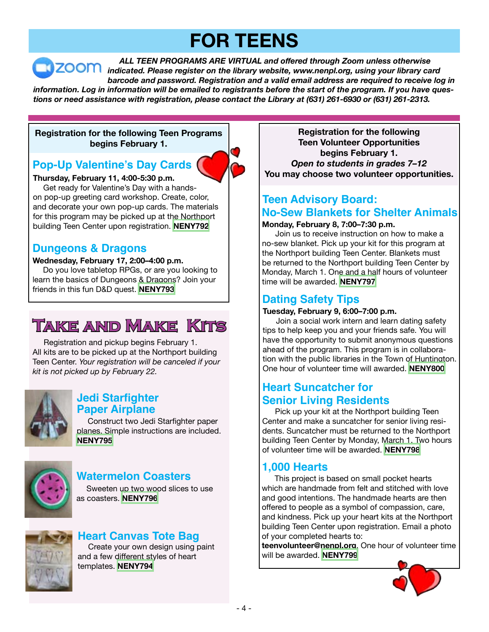# **FOR TEENS**

 *ALL TEEN PROGRAMS ARE VIRTUAL and offered through Zoom unless otherwise indicated. Please register on the library website, www.nenpl.org, using your library card barcode and password. Registration and a valid email address are required to receive log in* information. Log in information will be emailed to registrants before the start of the program. If you have ques*tions or need assistance with registration, please contact the Library at (631) 261-6930 or (631) 261-2313.*

#### **Registration for the following Teen Programs begins February 1.**

# **Pop-Up Valentine's Day Cards**

**Thursday, February 11, 4:00-5:30 p.m.** Get ready for Valentine's Day with a handson pop-up greeting card workshop. Create, color, and decorate your own pop-up cards. The materials for this program may be picked up at the Northport building Teen Center upon registration. **[NENY792](https://search.livebrary.com/record=g1102969~S43)**

### **Dungeons & Dragons**

#### **Wednesday, February 17, 2:00–4:00 p.m.**

Do you love tabletop RPGs, or are you looking to learn the basics of Dungeons & Dragons? Join your friends in this fun D&D quest. **[NENY793](https://search.livebrary.com/record=g1102970~S43)**

# **Take and Make Kits**

 Registration and pickup begins February 1. All kits are to be picked up at the Northport building Teen Center. *Your registration will be canceled if your kit is not picked up by February 22.*



# **Jedi Starfighter**

 Construct two Jedi Starfighter paper planes. Simple instructions are included. **[NENY795](https://search.livebrary.com/record=g1102972~S43)**



## **Watermelon Coasters**

 Sweeten up two wood slices to use as coasters. **[NENY796](https://search.livebrary.com/record=g1102973~S43)** 



## **Heart Canvas Tote Bag**

 Create your own design using paint and a few different styles of heart templates. **[NENY794](https://search.livebrary.com/record=g1102971~S43)**

**Registration for the following Teen Volunteer Opportunities begins February 1.** *Open to students in grades 7–12* **You may choose two volunteer opportunities.**

# **Teen Advisory Board: No-Sew Blankets for Shelter Animals**

#### **Monday, February 8, 7:00–7:30 p.m.**

 Join us to receive instruction on how to make a no-sew blanket. Pick up your kit for this program at the Northport building Teen Center. Blankets must be returned to the Northport building Teen Center by Monday, March 1. One and a half hours of volunteer time will be awarded. **[NENY797](https://search.livebrary.com/record=g1102977~S43)**

# **Dating Safety Tips**

#### **Tuesday, February 9, 6:00–7:00 p.m.**

 Join a social work intern and learn dating safety tips to help keep you and your friends safe. You will have the opportunity to submit anonymous questions ahead of the program. This program is in collaboration with the public libraries in the Town of Huntington. One hour of volunteer time will awarded. **[NENY800](https://search.livebrary.com/record=g1103000~S43)**

## **Heart Suncatcher for Senior Living Residents**

 Pick up your kit at the Northport building Teen Center and make a suncatcher for senior living residents. Suncatcher must be returned to the Northport building Teen Center by Monday, March 1. Two hours of volunteer time will be awarded. **[NENY798](https://search.livebrary.com/record=g1103001~S43)**

### **1,000 Hearts**

 This project is based on small pocket hearts which are handmade from felt and stitched with love and good intentions. The handmade hearts are then offered to people as a symbol of compassion, care, and kindness. Pick up your heart kits at the Northport building Teen Center upon registration. Email a photo of your completed hearts to:

**teenvolunteer@nenpl.org**. One hour of volunteer time will be awarded. **[NENY799](https://search.livebrary.com/record=g1103002~S43)**

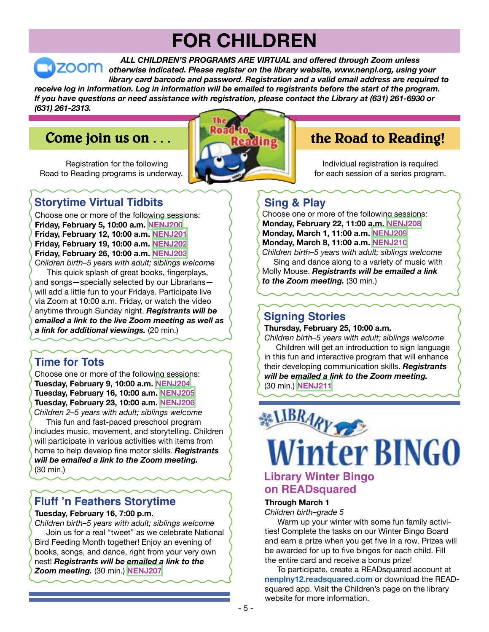# **FOR CHILDREN**

 *ALL CHILDREN'S PROGRAMS ARE VIRTUAL and offered through Zoom unless otherwise indicated. Please register on the library website, www.nenpl.org, using your library card barcode and password. Registration and a valid email address are required to* receive log in information. Log in information will be emailed to registrants before the start of the program. If you have questions or need assistance with registration, please contact the Library at (631) 261-6930 or *(631) 261-2313.*

# **Come join us on . . .**

 Registration for the following Road to Reading programs is underway.



# **the Road to Reading!**

Individual registration is required for each session of a series program.

# **Storytime Virtual Tidbits**

Choose one or more of the following sessions: **Friday, February 5, 10:00 a.m. [NENJ200](https://search.livebrary.com/record=g1102420~S43) Friday, February 12, 10:00 a.m. [NENJ201](https://search.livebrary.com/record=g1102456~S43) Friday, February 19, 10:00 a.m. [NENJ202](http://NENJ202) Friday, February 26, 10:00 a.m. [NENJ203](https://search.livebrary.com/record=g1102461~S43)**

C*hildren birth–5 years with adult; siblings welcome* This quick splash of great books, fingerplays, and songs—specially selected by our Librarians will add a little fun to your Fridays. Participate live via Zoom at 10:00 a.m. Friday, or watch the video anytime through Sunday night. *Registrants will be emailed a link to the live Zoom meeting as well as a link for additional viewings.* (20 min.)

**Time for Tots**

Choose one or more of the following sessions: **Tuesday, February 9, 10:00 a.m. [NENJ204](https://search.livebrary.com/record=g1102538~S43) Tuesday, February 16, 10:00 a.m. [NENJ205](https://search.livebrary.com/record=g1102539~S43) Tuesday, February 23, 10:00 a.m. [NENJ206](https://search.livebrary.com/record=g1102540~S43)** *Children 2–5 years with adult; siblings welcome*

 This fun and fast-paced preschool program includes music, movement, and storytelling. Children will participate in various activities with items from home to help develop fine motor skills. *Registrants will be emailed a link to the Zoom meeting.* (30 min.)

# **Fluff 'n Feathers Storytime**

#### **Tuesday, February 16, 7:00 p.m.**

*Children birth–5 years with adult; siblings welcome* Join us for a real "tweet" as we celebrate National Bird Feeding Month together! Enjoy an evening of books, songs, and dance, right from your very own nest! *Registrants will be emailed a link to the Zoom meeting.* (30 min.) **[NENJ207](https://search.livebrary.com/record=g1102418~S43)**

# **Sing & Play**

Choose one or more of the following sessions: **Monday, February 22, 11:00 a.m. [NENJ208](https://search.livebrary.com/record=g1102511~S43) Monday, March 1, 11:00 a.m. [NENJ209](https://search.livebrary.com/record=g1102512~S43) Monday, March 8, 11:00 a.m. [NENJ210](https://search.livebrary.com/record=g1102513~S43)** *Children birth–5 years with adult; siblings welcome*

 Sing and dance along to a variety of music with Molly Mouse. *Registrants will be emailed a link to the Zoom meeting.* (30 min.)

## **Signing Stories**

**Thursday, February 25, 10:00 a.m.** 

*Children birth–5 years with adult; siblings welcome* Children will get an introduction to sign language in this fun and interactive program that will enhance their developing communication skills. *Registrants will be emailed a link to the Zoom meeting.* (30 min.) **[NENJ211](https://search.livebrary.com/record=g1102541~S43)**



## **Library Winter Bingo on READsquared**

#### **Through March 1**

*Children birth–grade 5*

Warm up your winter with some fun family activities! Complete the tasks on our Winter Bingo Board and earn a prize when you get five in a row. Prizes will be awarded for up to five bingos for each child. Fill the entire card and receive a bonus prize!

 To participate, create a READsquared account at **[nenplny12.readsquared.com](http://nenplny12.readsquared.com)** or download the READsquared app. Visit the Children's page on the library website for more information.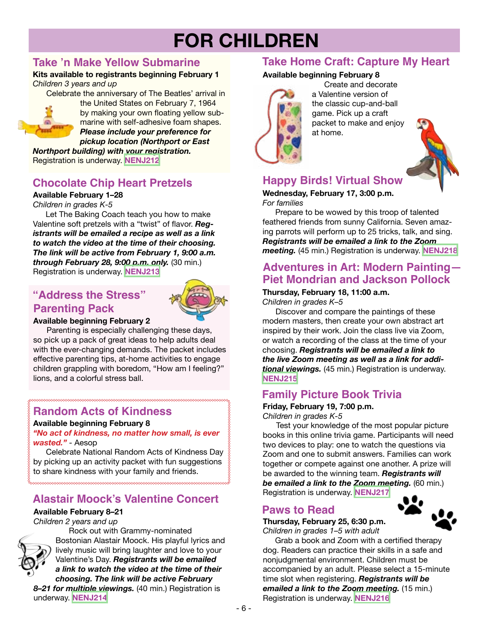# **FOR CHILDREN**

# **Take 'n Make Yellow Submarine**

**Kits available to registrants beginning February 1** *Children 3 years and up*

Celebrate the anniversary of The Beatles' arrival in the United States on February 7, 1964



by making your own floating yellow submarine with self-adhesive foam shapes. *Please include your preference for pickup location (Northport or East*

*Northport building) with your registration.* Registration is underway. **[NENJ212](https://search.livebrary.com/record=g1102506~S43)**

# **Chocolate Chip Heart Pretzels**

### **Available February 1–28**

*Children in grades K-5*

Let The Baking Coach teach you how to make Valentine soft pretzels with a "twist" of flavor. *Registrants will be emailed a recipe as well as a link to watch the video at the time of their choosing. The link will be active from February 1, 9:00 a.m. through February 28, 9:00 p.m. only.* (30 min.) Registration is underway. **[NENJ213](https://search.livebrary.com/record=g1102320~S43)**

# **"Address the Stress" Parenting Pack**



#### **Available beginning February 2**

 Parenting is especially challenging these days, so pick up a pack of great ideas to help adults deal with the ever-changing demands. The packet includes effective parenting tips, at-home activities to engage children grappling with boredom, "How am I feeling?" lions, and a colorful stress ball.

# **Random Acts of Kindness**

**Available beginning February 8**

*"No act of kindness, no matter how small, is ever wasted."* - Aesop

Celebrate National Random Acts of Kindness Day by picking up an activity packet with fun suggestions to share kindness with your family and friends.

# **Alastair Moock's Valentine Concert**

### **Available February 8–21**

*Children 2 years and up*



 Rock out with Grammy-nominated Bostonian Alastair Moock. His playful lyrics and lively music will bring laughter and love to your Valentine's Day. *Registrants will be emailed a link to watch the video at the time of their choosing. The link will be active February*

*8–21 for multiple viewings.* (40 min.) Registration is underway. **[NENJ214](https://search.livebrary.com/record=g1102233~S43)**

#### **Available beginning February 8 Take Home Craft: Capture My Heart**



Create and decorate a Valentine version of the classic cup-and-ball game. Pick up a craft packet to make and enjoy at home.



# **Happy Birds! Virtual Show**

#### **Wednesday, February 17, 3:00 p.m.** *For families*

Prepare to be wowed by this troop of talented feathered friends from sunny California. Seven amazing parrots will perform up to 25 tricks, talk, and sing. *Registrants will be emailed a link to the Zoom meeting.* (45 min.) Registration is underway. **[NENJ218](https://search.livebrary.com/record=g1102507~S43)**

# **Adventures in Art: Modern Painting— Piet Mondrian and Jackson Pollock**

#### **Thursday, February 18, 11:00 a.m.**

*Children in grades K–5*

Discover and compare the paintings of these modern masters, then create your own abstract art inspired by their work. Join the class live via Zoom, or watch a recording of the class at the time of your choosing. *Registrants will be emailed a link to the live Zoom meeting as well as a link for additional viewings.* (45 min.) Registration is underway. **[NENJ215](https://search.livebrary.com/record=g1102186~S43)**

## **Family Picture Book Trivia**

#### **Friday, February 19, 7:00 p.m.** *Children in grades K-5*

 Test your knowledge of the most popular picture books in this online trivia game. Participants will need two devices to play: one to watch the questions via Zoom and one to submit answers. Families can work together or compete against one another. A prize will be awarded to the winning team. *Registrants will be emailed a link to the Zoom meeting.* (60 min.) Registration is underway. **[NENJ217](https://search.livebrary.com/record=g1102503~S43)**

# **Paws to Read**

# **Thursday, February 25, 6:30 p.m.**

*Children in grades 1–5 with adult*

 Grab a book and Zoom with a certified therapy dog. Readers can practice their skills in a safe and

nonjudgmental environment. Children must be accompanied by an adult. Please select a 15-minute time slot when registering. *Registrants will be emailed a link to the Zoom meeting.* (15 min.) Registration is underway. **[NENJ216](https://search.livebrary.com/record=g1102305~S43)**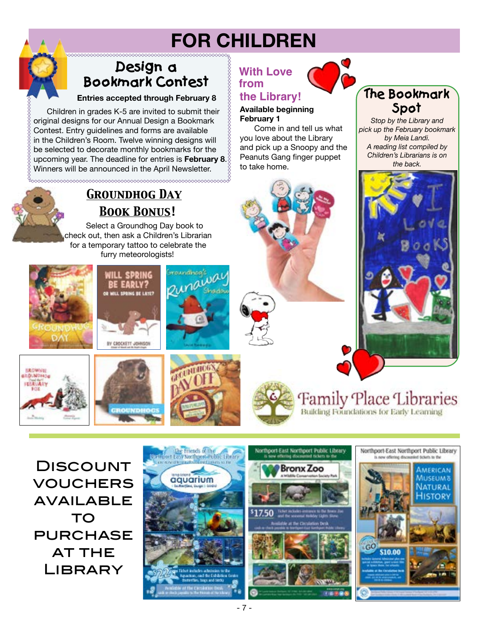# **FOR CHILDREN**

# **Design a Bookmark Contest**

#### **Entries accepted through February 8**

 Children in grades K-5 are invited to submit their original designs for our Annual Design a Bookmark Contest. Entry guidelines and forms are available in the Children's Room. Twelve winning designs will be selected to decorate monthly bookmarks for the upcoming year. The deadline for entries is **February 8**. Winners will be announced in the April Newsletter.

*Groundhog Day*

*Book Bonus!*

NILL SPRING *BE EARLY?* LL SPRING BE LATE?

BY CROCKETT JOHNSO

**EROUNDHOC** 

Select a Groundhog Day book to check out, then ask a Children's Librarian for a temporary tattoo to celebrate the furry meteorologists!

# **With Love from**

## **the Library!**

**Available beginning February 1**

Come in and tell us what you love about the Library and pick up a Snoopy and the Peanuts Gang finger puppet to take home.

# **The Bookmark Spot**

*Stop by the Library and pick up the February bookmark by Meia Landi. A reading list compiled by Children's Librarians is on the back.*



**Family Place Libraries** Building Foundations for Early Learning

**DISCOUNT** vouchers **AVAILABLE** TO **PURCHASE AT THE LIBRARY** 

**AROUNDHAD**